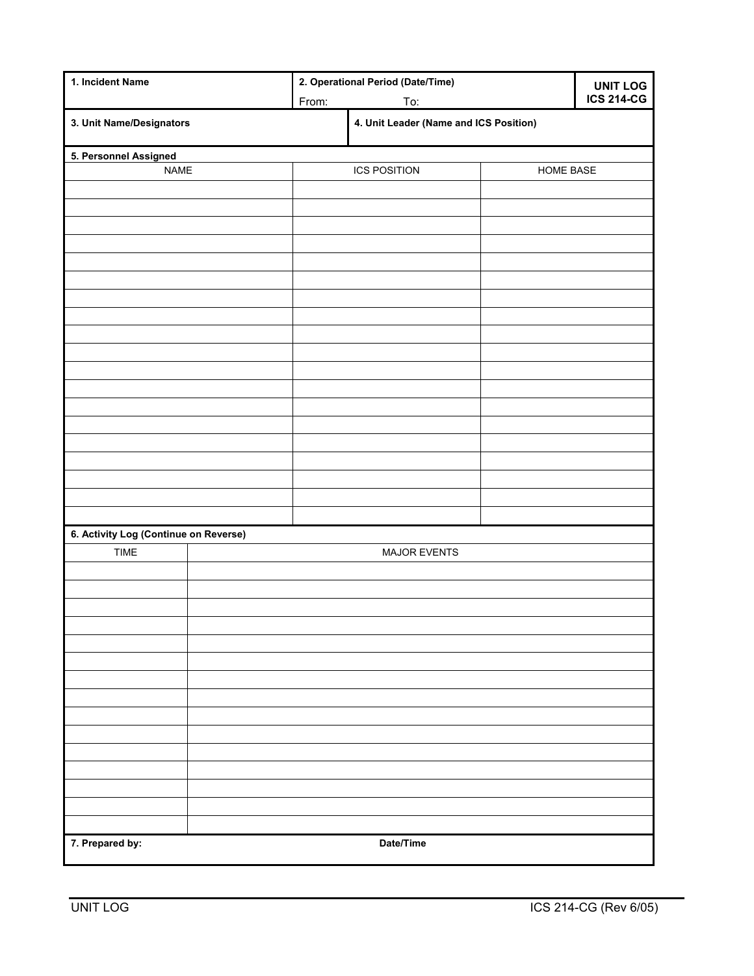| 1. Incident Name                      |                     | 2. Operational Period (Date/Time)      | <b>UNIT LOG</b> |                   |
|---------------------------------------|---------------------|----------------------------------------|-----------------|-------------------|
|                                       | From:               | To:                                    |                 | <b>ICS 214-CG</b> |
| 3. Unit Name/Designators              |                     | 4. Unit Leader (Name and ICS Position) |                 |                   |
| 5. Personnel Assigned                 |                     |                                        |                 |                   |
| <b>NAME</b>                           |                     | <b>ICS POSITION</b>                    | HOME BASE       |                   |
|                                       |                     |                                        |                 |                   |
|                                       |                     |                                        |                 |                   |
|                                       |                     |                                        |                 |                   |
|                                       |                     |                                        |                 |                   |
|                                       |                     |                                        |                 |                   |
|                                       |                     |                                        |                 |                   |
|                                       |                     |                                        |                 |                   |
|                                       |                     |                                        |                 |                   |
|                                       |                     |                                        |                 |                   |
|                                       |                     |                                        |                 |                   |
|                                       |                     |                                        |                 |                   |
|                                       |                     |                                        |                 |                   |
|                                       |                     |                                        |                 |                   |
|                                       |                     |                                        |                 |                   |
|                                       |                     |                                        |                 |                   |
|                                       |                     |                                        |                 |                   |
|                                       |                     |                                        |                 |                   |
|                                       |                     |                                        |                 |                   |
| 6. Activity Log (Continue on Reverse) |                     |                                        |                 |                   |
| <b>TIME</b>                           | <b>MAJOR EVENTS</b> |                                        |                 |                   |
|                                       |                     |                                        |                 |                   |
|                                       |                     |                                        |                 |                   |
|                                       |                     |                                        |                 |                   |
|                                       |                     |                                        |                 |                   |
|                                       |                     |                                        |                 |                   |
|                                       |                     |                                        |                 |                   |
|                                       |                     |                                        |                 |                   |
|                                       |                     |                                        |                 |                   |
|                                       |                     |                                        |                 |                   |
|                                       |                     |                                        |                 |                   |
|                                       |                     |                                        |                 |                   |
|                                       |                     |                                        |                 |                   |
|                                       |                     |                                        |                 |                   |
|                                       |                     |                                        |                 |                   |
| 7. Prepared by:                       |                     | Date/Time                              |                 |                   |
|                                       |                     |                                        |                 |                   |

Ι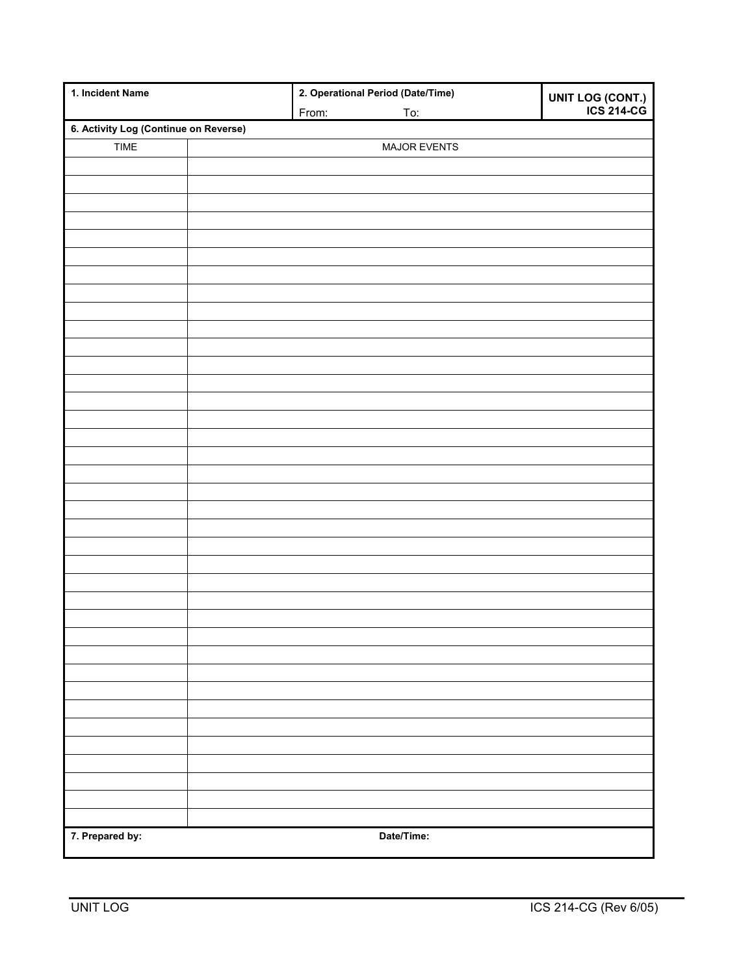| 1. Incident Name                      |  |       | 2. Operational Period (Date/Time) | UNIT LOG (CONT.)<br>ICS 214-CG |  |
|---------------------------------------|--|-------|-----------------------------------|--------------------------------|--|
|                                       |  | From: | To:                               |                                |  |
| 6. Activity Log (Continue on Reverse) |  |       |                                   |                                |  |
| <b>TIME</b>                           |  |       | MAJOR EVENTS                      |                                |  |
|                                       |  |       |                                   |                                |  |
|                                       |  |       |                                   |                                |  |
|                                       |  |       |                                   |                                |  |
|                                       |  |       |                                   |                                |  |
|                                       |  |       |                                   |                                |  |
|                                       |  |       |                                   |                                |  |
|                                       |  |       |                                   |                                |  |
|                                       |  |       |                                   |                                |  |
|                                       |  |       |                                   |                                |  |
|                                       |  |       |                                   |                                |  |
|                                       |  |       |                                   |                                |  |
|                                       |  |       |                                   |                                |  |
|                                       |  |       |                                   |                                |  |
|                                       |  |       |                                   |                                |  |
|                                       |  |       |                                   |                                |  |
|                                       |  |       |                                   |                                |  |
|                                       |  |       |                                   |                                |  |
|                                       |  |       |                                   |                                |  |
|                                       |  |       |                                   |                                |  |
|                                       |  |       |                                   |                                |  |
|                                       |  |       |                                   |                                |  |
|                                       |  |       |                                   |                                |  |
|                                       |  |       |                                   |                                |  |
|                                       |  |       |                                   |                                |  |
|                                       |  |       |                                   |                                |  |
|                                       |  |       |                                   |                                |  |
|                                       |  |       |                                   |                                |  |
|                                       |  |       |                                   |                                |  |
|                                       |  |       |                                   |                                |  |
|                                       |  |       |                                   |                                |  |
|                                       |  |       |                                   |                                |  |
|                                       |  |       |                                   |                                |  |
|                                       |  |       |                                   |                                |  |
|                                       |  |       |                                   |                                |  |
|                                       |  |       |                                   |                                |  |
|                                       |  |       |                                   |                                |  |
|                                       |  |       |                                   |                                |  |
|                                       |  |       |                                   |                                |  |
| 7. Prepared by:                       |  |       | Date/Time:                        |                                |  |